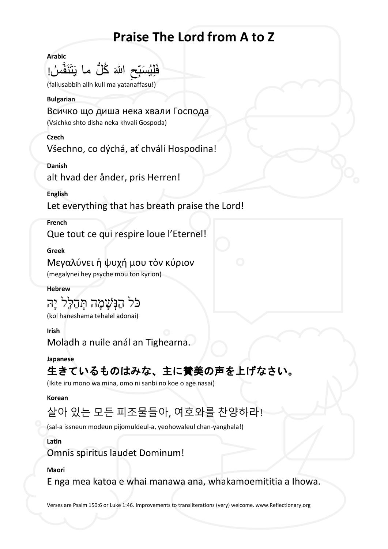# **Praise The Lord from A to Z**

**Arabic**

فَلِيُسَبِّحِ اللّٰہَ كُلُّ ما يَتَنَفَّسُ!<br>مَسْتَقِي  $\overline{\phantom{a}}$ ِتَبَدَّ<br>ا

(faliusabbih allh kull ma yatanaffasu!)

#### **Bulgarian**

Всичко що диша нека хвали Господа

(Vsichko shto disha neka khvali Gospoda)

**Czech**

Všechno, co dýchá, ať chválí Hospodina!

**Danish**

alt hvad der ånder, pris Herren!

**English**

Let everything that has breath praise the Lord!

## **French**

Que tout ce qui respire loue l'Eternel!

**Greek**

Μεγαλύνει ἡ ψυχή μου τὸν κύριον (megalynei hey psyche mou ton kyrion)

## **Hebrew**

# כֹּל הַנִּשָׁמָה תְּהַלֵּל יָה

(kol haneshama tehalel adonai)

## **Irish**

Moladh a nuile anál an Tighearna.

## **Japanese**

## 生きているものはみな、主に賛美の声を上げなさい。

(Ikite iru mono wa mina, omo ni sanbi no koe o age nasai)

## **Korean**

## 살아 있는 모든 피조물들아, 여호와를 찬양하라!

(sal-a issneun modeun pijomuldeul-a, yeohowaleul chan-yanghala!)

## **Latin**

Omnis spiritus laudet Dominum!

## **Maori**

E nga mea katoa e whai manawa ana, whakamoemititia a Ihowa.

Verses are Psalm 150:6 or Luke 1:46. Improvements to transliterations (very) welcome. www.Reflectionary.org